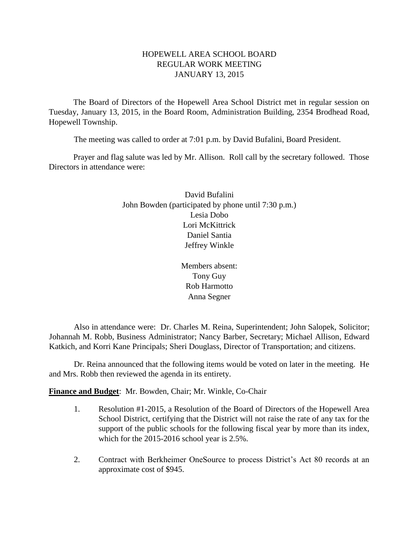# HOPEWELL AREA SCHOOL BOARD REGULAR WORK MEETING JANUARY 13, 2015

The Board of Directors of the Hopewell Area School District met in regular session on Tuesday, January 13, 2015, in the Board Room, Administration Building, 2354 Brodhead Road, Hopewell Township.

The meeting was called to order at 7:01 p.m. by David Bufalini, Board President.

Prayer and flag salute was led by Mr. Allison. Roll call by the secretary followed. Those Directors in attendance were:

> David Bufalini John Bowden (participated by phone until 7:30 p.m.) Lesia Dobo Lori McKittrick Daniel Santia Jeffrey Winkle

> > Members absent: Tony Guy Rob Harmotto Anna Segner

Also in attendance were: Dr. Charles M. Reina, Superintendent; John Salopek, Solicitor; Johannah M. Robb, Business Administrator; Nancy Barber, Secretary; Michael Allison, Edward Katkich, and Korri Kane Principals; Sheri Douglass, Director of Transportation; and citizens.

Dr. Reina announced that the following items would be voted on later in the meeting. He and Mrs. Robb then reviewed the agenda in its entirety.

**Finance and Budget**: Mr. Bowden, Chair; Mr. Winkle, Co-Chair

- 1. Resolution #1-2015, a Resolution of the Board of Directors of the Hopewell Area School District, certifying that the District will not raise the rate of any tax for the support of the public schools for the following fiscal year by more than its index, which for the 2015-2016 school year is 2.5%.
- 2. Contract with Berkheimer OneSource to process District's Act 80 records at an approximate cost of \$945.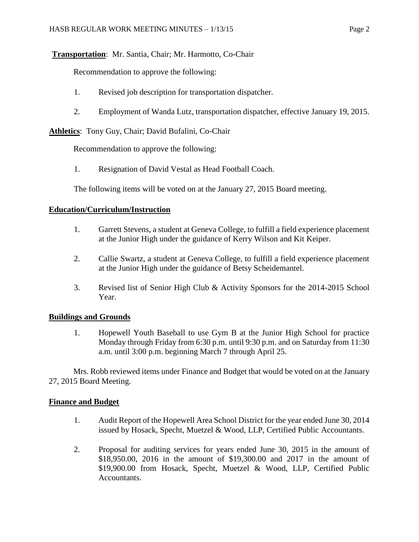# **Transportation**: Mr. Santia, Chair; Mr. Harmotto, Co-Chair

Recommendation to approve the following:

- 1. Revised job description for transportation dispatcher.
- 2. Employment of Wanda Lutz, transportation dispatcher, effective January 19, 2015.

**Athletics**: Tony Guy, Chair; David Bufalini, Co-Chair

Recommendation to approve the following:

1. Resignation of David Vestal as Head Football Coach.

The following items will be voted on at the January 27, 2015 Board meeting.

## **Education/Curriculum/Instruction**

- 1. Garrett Stevens, a student at Geneva College, to fulfill a field experience placement at the Junior High under the guidance of Kerry Wilson and Kit Keiper.
- 2. Callie Swartz, a student at Geneva College, to fulfill a field experience placement at the Junior High under the guidance of Betsy Scheidemantel.
- 3. Revised list of Senior High Club & Activity Sponsors for the 2014-2015 School Year.

## **Buildings and Grounds**

1. Hopewell Youth Baseball to use Gym B at the Junior High School for practice Monday through Friday from 6:30 p.m. until 9:30 p.m. and on Saturday from 11:30 a.m. until 3:00 p.m. beginning March 7 through April 25.

Mrs. Robb reviewed items under Finance and Budget that would be voted on at the January 27, 2015 Board Meeting.

## **Finance and Budget**

- 1. Audit Report of the Hopewell Area School District for the year ended June 30, 2014 issued by Hosack, Specht, Muetzel & Wood, LLP, Certified Public Accountants.
- 2. Proposal for auditing services for years ended June 30, 2015 in the amount of \$18,950.00, 2016 in the amount of \$19,300.00 and 2017 in the amount of \$19,900.00 from Hosack, Specht, Muetzel & Wood, LLP, Certified Public Accountants.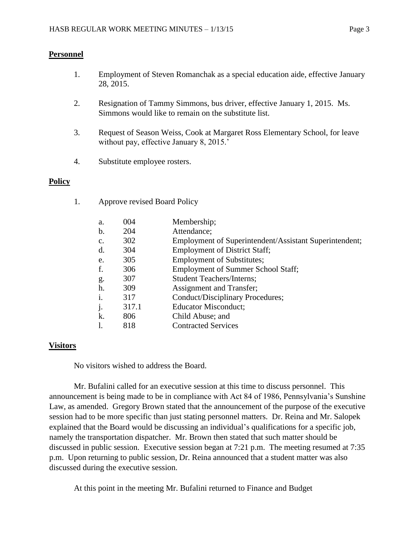# **Personnel**

- 1. Employment of Steven Romanchak as a special education aide, effective January 28, 2015.
- 2. Resignation of Tammy Simmons, bus driver, effective January 1, 2015. Ms. Simmons would like to remain on the substitute list.
- 3. Request of Season Weiss, Cook at Margaret Ross Elementary School, for leave without pay, effective January 8, 2015.'
- 4. Substitute employee rosters.

1. Approve revised Board Policy

## **Policy**

| a.             | 004   | Membership;                                            |
|----------------|-------|--------------------------------------------------------|
| b.             | 204   | Attendance;                                            |
| $\mathbf{c}$ . | 302   | Employment of Superintendent/Assistant Superintendent; |
| d.             | 304   | <b>Employment of District Staff;</b>                   |
| e.             | 305   | <b>Employment of Substitutes;</b>                      |
| f.             | 306   | <b>Employment of Summer School Staff;</b>              |
| g.             | 307   | <b>Student Teachers/Interns;</b>                       |
| h.             | 309   | <b>Assignment and Transfer;</b>                        |
| $\mathbf{i}$ . | 317   | Conduct/Disciplinary Procedures;                       |
| j.             | 317.1 | <b>Educator Misconduct;</b>                            |
| k.             | 806   | Child Abuse; and                                       |
| 1.             | 818   | <b>Contracted Services</b>                             |

# **Visitors**

No visitors wished to address the Board.

Mr. Bufalini called for an executive session at this time to discuss personnel. This announcement is being made to be in compliance with Act 84 of 1986, Pennsylvania's Sunshine Law, as amended. Gregory Brown stated that the announcement of the purpose of the executive session had to be more specific than just stating personnel matters. Dr. Reina and Mr. Salopek explained that the Board would be discussing an individual's qualifications for a specific job, namely the transportation dispatcher. Mr. Brown then stated that such matter should be discussed in public session. Executive session began at 7:21 p.m. The meeting resumed at 7:35 p.m. Upon returning to public session, Dr. Reina announced that a student matter was also discussed during the executive session.

At this point in the meeting Mr. Bufalini returned to Finance and Budget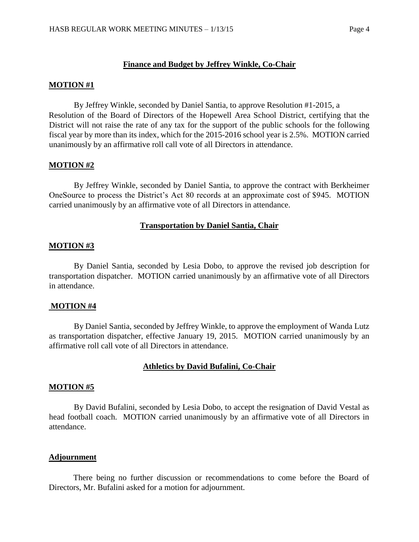### **Finance and Budget by Jeffrey Winkle, Co-Chair**

#### **MOTION #1**

By Jeffrey Winkle, seconded by Daniel Santia, to approve Resolution #1-2015, a Resolution of the Board of Directors of the Hopewell Area School District, certifying that the District will not raise the rate of any tax for the support of the public schools for the following fiscal year by more than its index, which for the 2015-2016 school year is 2.5%. MOTION carried unanimously by an affirmative roll call vote of all Directors in attendance.

### **MOTION #2**

By Jeffrey Winkle, seconded by Daniel Santia, to approve the contract with Berkheimer OneSource to process the District's Act 80 records at an approximate cost of \$945. MOTION carried unanimously by an affirmative vote of all Directors in attendance.

### **Transportation by Daniel Santia, Chair**

### **MOTION #3**

By Daniel Santia, seconded by Lesia Dobo, to approve the revised job description for transportation dispatcher. MOTION carried unanimously by an affirmative vote of all Directors in attendance.

#### **MOTION #4**

By Daniel Santia, seconded by Jeffrey Winkle, to approve the employment of Wanda Lutz as transportation dispatcher, effective January 19, 2015. MOTION carried unanimously by an affirmative roll call vote of all Directors in attendance.

### **Athletics by David Bufalini, Co-Chair**

#### **MOTION #5**

By David Bufalini, seconded by Lesia Dobo, to accept the resignation of David Vestal as head football coach. MOTION carried unanimously by an affirmative vote of all Directors in attendance.

#### **Adjournment**

There being no further discussion or recommendations to come before the Board of Directors, Mr. Bufalini asked for a motion for adjournment.